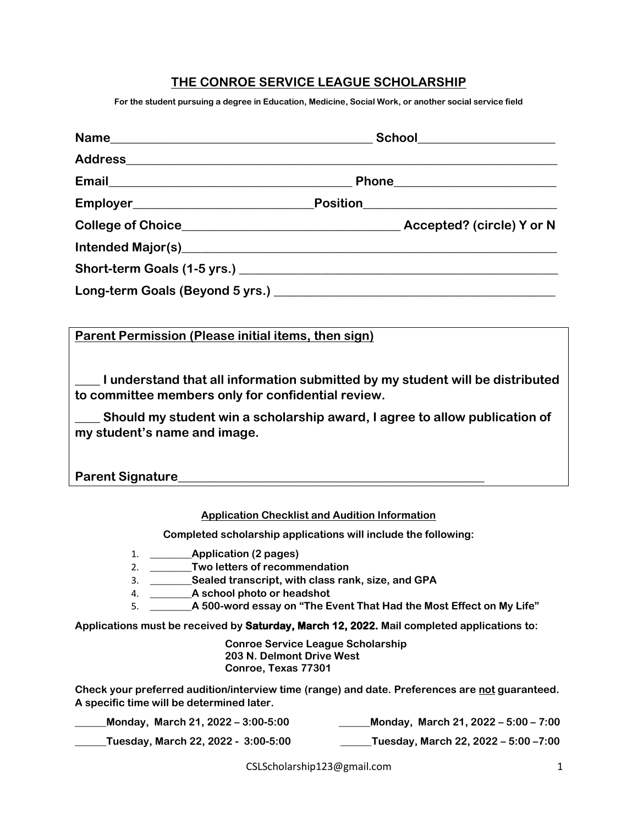## **THE CONROE SERVICE LEAGUE SCHOLARSHIP**

**For the student pursuing a degree in Education, Medicine, Social Work, or another social service field** 

|                                                     | School__________________ |
|-----------------------------------------------------|--------------------------|
|                                                     |                          |
|                                                     |                          |
|                                                     |                          |
|                                                     |                          |
|                                                     |                          |
|                                                     |                          |
|                                                     |                          |
|                                                     |                          |
| Parent Permission (Please initial items, then sign) |                          |
|                                                     |                          |

**\_\_\_\_ I understand that all information submitted by my student will be distributed to committee members only for confidential review.**

**\_\_\_\_ Should my student win a scholarship award, I agree to allow publication of my student's name and image.**

**Parent Signature\_\_\_\_\_\_\_\_\_\_\_\_\_\_\_\_\_\_\_\_\_\_\_\_\_\_\_\_\_\_\_\_\_\_\_\_\_\_\_\_\_\_\_\_\_\_\_\_\_**

**Application Checklist and Audition Information**

**Completed scholarship applications will include the following:**

- 1. **\_\_\_\_\_\_\_\_Application (2 pages)**
- 2. **\_\_\_\_\_\_\_\_Two letters of recommendation**
- 3. **\_\_\_\_\_\_\_\_Sealed transcript, with class rank, size, and GPA**
- 4. **\_\_\_\_\_\_\_\_A school photo or headshot**
- 5. **\_\_\_\_\_\_\_\_A 500-word essay on "The Event That Had the Most Effect on My Life"**

**Applications must be received by Saturday, March 12, 2022. Mail completed applications to:**

**Conroe Service League Scholarship 203 N. Delmont Drive West Conroe, Texas 77301**

**Check your preferred audition/interview time (range) and date. Preferences are not guaranteed. A specific time will be determined later.**

| Monday, March 21, 2022 – 3:00-5:00  | Monday, March 21, 2022 – 5:00 – 7:00 |
|-------------------------------------|--------------------------------------|
| Tuesday, March 22, 2022 - 3:00-5:00 | Tuesday, March 22, 2022 - 5:00 -7:00 |